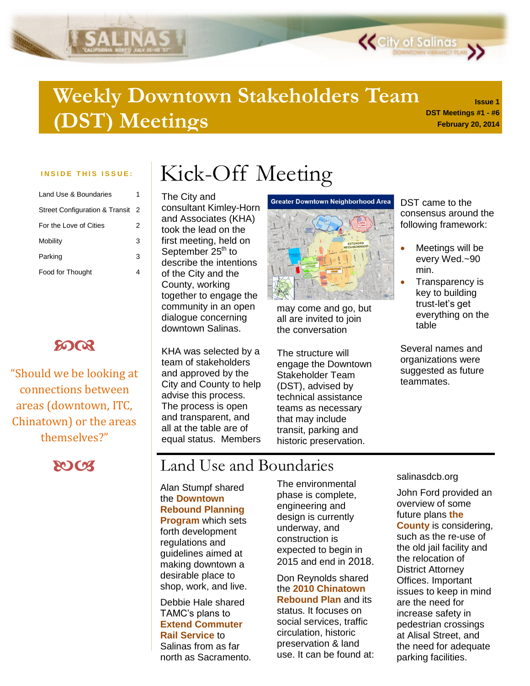## **DST Meetings #1 - #6 Weekly Downtown Stakeholders Team (DST) Meetings**

**ALINAS** 

| 1 |
|---|
| 2 |
| 2 |
| 3 |
| 3 |
|   |
|   |

## **8003**

"Should we be looking at connections between areas (downtown, ITC, Chinatown) or the areas themselves?"



# INSIDE THIS ISSUE: | Kick-Off Meeting

The City and consultant Kimley-Horn and Associates (KHA) took the lead on the first meeting, held on September  $25<sup>th</sup>$  to describe the intentions of the City and the County, working together to engage the community in an open dialogue concerning downtown Salinas.

KHA was selected by a team of stakeholders and approved by the City and County to help advise this process. The process is open and transparent, and all at the table are of equal status. Members



may come and go, but all are invited to join the conversation

The structure will engage the Downtown Stakeholder Team (DST), advised by technical assistance teams as necessary that may include transit, parking and historic preservation.

DST came to the consensus around the following framework:

**K** City of Salinas

**Issue 1**

**February 20, 2014**

- Meetings will be every Wed.~90 min.
- Transparency is key to building trust-let's get everything on the table

Several names and organizations were suggested as future teammates.

## Land Use and Boundaries

Alan Stumpf shared the **Downtown Rebound Planning Program** which sets forth development regulations and guidelines aimed at making downtown a desirable place to shop, work, and live.

Debbie Hale shared TAMC's plans to **Extend Commuter Rail Service** to Salinas from as far north as Sacramento.

### The environmental phase is complete, engineering and design is currently underway, and construction is expected to begin in 2015 and end in 2018.

Don Reynolds shared the **2010 Chinatown Rebound Plan** and its status. It focuses on social services, traffic circulation, historic preservation & land use. It can be found at: salinasdcb.org

John Ford provided an overview of some future plans **the County** is considering, such as the re-use of the old jail facility and the relocation of District Attorney Offices. Important issues to keep in mind are the need for increase safety in pedestrian crossings at Alisal Street, and the need for adequate parking facilities.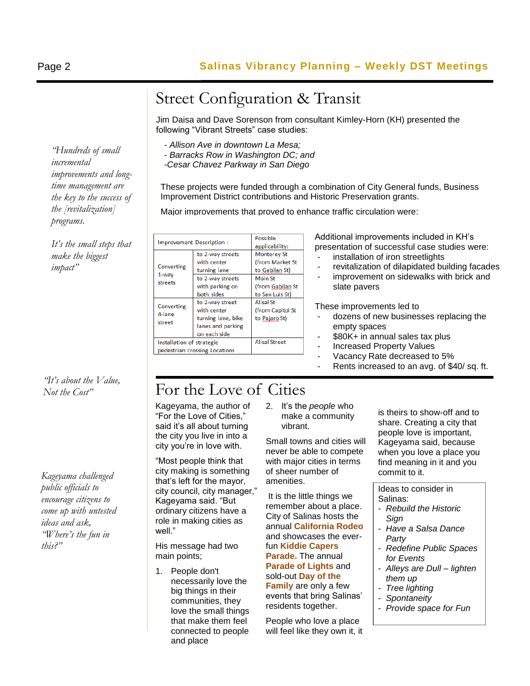*"Hundreds of small incremental improvements and longtime management are the key to the success of the [revitalization]* 

*It's the small steps that make the biggest impact"*

*programs.*

*"It's about the Value, Not the Cost"*

*Kageyama challenged public officials to encourage citizens to come up with untested ideas and ask, "Where's the fun in this?"*

# Street Configuration & Transit

Jim Daisa and Dave Sorenson from consultant Kimley-Horn (KH) presented the following "Vibrant Streets" case studies:

*- Allison Ave in downtown La Mesa;*

*- Barracks Row in Washington DC; and*

*-Cesar Chavez Parkway in San Diego*

These projects were funded through a combination of City General funds, Business Improvement District contributions and Historic Preservation grants.

Major improvements that proved to enhance traffic circulation were:

| Improvement Description:                                   |                                                                                                      | Possible<br>applicability:                                                                                |
|------------------------------------------------------------|------------------------------------------------------------------------------------------------------|-----------------------------------------------------------------------------------------------------------|
| Converting<br>1-way<br>streets                             | to 2-way streets<br>with center<br>turning lane<br>to 2-way streets<br>with parking on<br>both sides | <b>Monterey St</b><br>(from Market St<br>to Gabilan St)<br>Main St<br>(from Gabilan St<br>to San Luis St) |
| Converting<br>4-lane<br>street                             | to 2-way street<br>with center<br>turning lane, bike<br>lanes and parking<br>on each side            | Alisal St<br>(from Capitol St<br>to Pajaro St)                                                            |
| Installation of strategic<br>pedestrian crossing Locations |                                                                                                      | <b>Alisal Street</b>                                                                                      |

Additional improvements included in KH's presentation of successful case studies were:

- installation of iron streetlights
- revitalization of dilapidated building facades
- improvement on sidewalks with brick and slate pavers

These improvements led to

- dozens of new businesses replacing the empty spaces
- \$80K+ in annual sales tax plus
- Increased Property Values
- Vacancy Rate decreased to 5%
- Rents increased to an avg. of \$40/ sq. ft.

# For the Love of Cities

Kageyama, the author of "For the Love of Cities," said it's all about turning the city you live in into a city you're in love with.

"Most people think that city making is something that's left for the mayor, city council, city manager," Kageyama said. "But ordinary citizens have a role in making cities as well."

His message had two main points;

1. People don't necessarily love the big things in their communities, they love the small things that make them feel connected to people and place

2. It's the *people* who make a community vibrant.

Small towns and cities will never be able to compete with major cities in terms of sheer number of amenities.

It is the little things we remember about a place. City of Salinas hosts the annual **California Rodeo** and showcases the everfun **Kiddie Capers Parade.** The annual **Parade of Lights** and sold-out **Day of the Family** are only a few events that bring Salinas' residents together.

People who love a place will feel like they own it, it is theirs to show-off and to share. Creating a city that people love is important, Kageyama said, because when you love a place you find meaning in it and you commit to it.

Ideas to consider in Salinas:

- *Rebuild the Historic Sign*
- *Have a Salsa Dance Party*
- *Redefine Public Spaces for Events*
- *Alleys are Dull – lighten them up*
- *Tree lighting*
- *Spontaneity*
- *Provide space for Fun*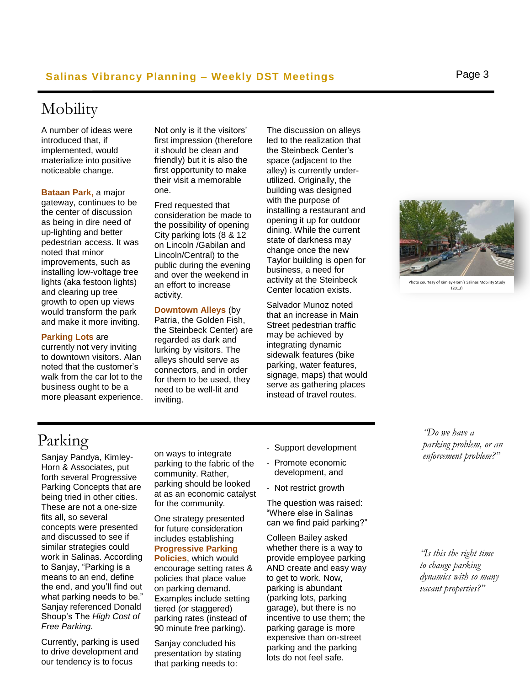## **Salinas Vibrancy Planning – Weekly DST Meetings** Page 3

## Mobility

A number of ideas were introduced that, if implemented, would materialize into positive noticeable change.

**Bataan Park,** a major gateway, continues to be the center of discussion as being in dire need of up-lighting and better pedestrian access. It was noted that minor improvements, such as installing low-voltage tree lights (aka festoon lights) and clearing up tree growth to open up views would transform the park and make it more inviting.

#### **Parking Lots** are

currently not very inviting to downtown visitors. Alan noted that the customer's walk from the car lot to the business ought to be a more pleasant experience. Not only is it the visitors' first impression (therefore it should be clean and friendly) but it is also the first opportunity to make their visit a memorable one.

Fred requested that consideration be made to the possibility of opening City parking lots (8 & 12 on Lincoln /Gabilan and Lincoln/Central) to the public during the evening and over the weekend in an effort to increase activity.

### **Downtown Alleys** (by

Patria, the Golden Fish, the Steinbeck Center) are regarded as dark and lurking by visitors. The alleys should serve as connectors, and in order for them to be used, they need to be well-lit and inviting.

The discussion on alleys led to the realization that the Steinbeck Center's space (adjacent to the alley) is currently underutilized. Originally, the building was designed with the purpose of installing a restaurant and opening it up for outdoor dining. While the current state of darkness may change once the new Taylor building is open for business, a need for activity at the Steinbeck Center location exists.

Salvador Munoz noted that an increase in Main Street pedestrian traffic may be achieved by integrating dynamic sidewalk features (bike parking, water features, signage, maps) that would serve as gathering places instead of travel routes.



to courtesy of Kimley-Horn's Salinas Mobility Study (2013)

> *"Do we have a parking problem, or an enforcement problem?"*

*"Is this the right time to change parking dynamics with so many vacant properties?"*

## Parking

Sanjay Pandya, Kimley-Horn & Associates, put forth several Progressive Parking Concepts that are being tried in other cities. These are not a one-size fits all, so several concepts were presented and discussed to see if similar strategies could work in Salinas. According to Sanjay, "Parking is a means to an end, define the end, and you'll find out what parking needs to be." Sanjay referenced Donald Shoup's The *High Cost of Free Parking.*

Currently, parking is used to drive development and our tendency is to focus

on ways to integrate parking to the fabric of the community. Rather, parking should be looked at as an economic catalyst for the community.

One strategy presented for future consideration includes establishing **Progressive Parking Policies**, which would encourage setting rates & policies that place value on parking demand. Examples include setting tiered (or staggered) parking rates (instead of 90 minute free parking).

Sanjay concluded his presentation by stating that parking needs to:

- Support development
- Promote economic development, and
- Not restrict growth

The question was raised: "Where else in Salinas can we find paid parking?"

Colleen Bailey asked whether there is a way to provide employee parking AND create and easy way to get to work. Now, parking is abundant (parking lots, parking garage), but there is no incentive to use them; the parking garage is more expensive than on-street parking and the parking lots do not feel safe.